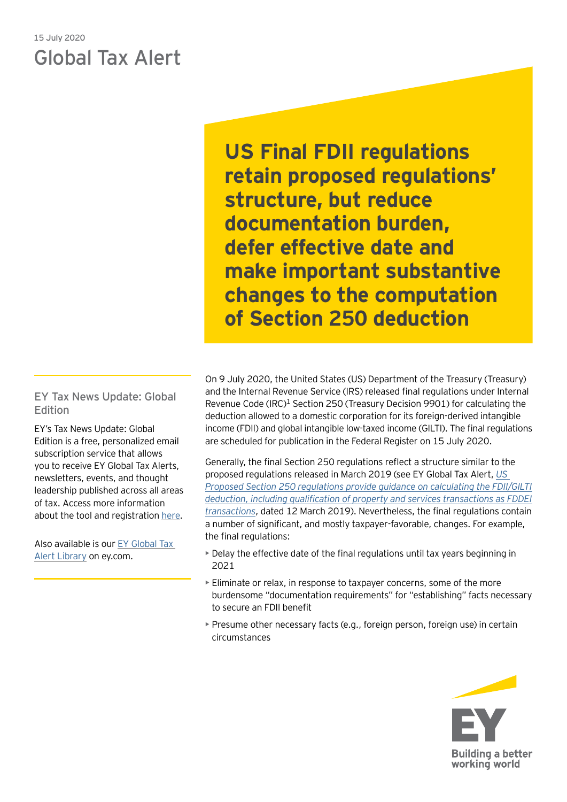# 15 July 2020 Global Tax Alert

**US Final FDII regulations retain proposed regulations' structure, but reduce documentation burden, defer effective date and make important substantive changes to the computation of Section 250 deduction**

EY Tax News Update: Global Edition

EY's Tax News Update: Global Edition is a free, personalized email subscription service that allows you to receive EY Global Tax Alerts, newsletters, events, and thought leadership published across all areas of tax. Access more information about the tool and registration [here](https://www.ey.com/gl/en/services/tax/sign-up-for-ey-tax-news-update-global-edition).

Also available is our [EY Global Tax](http://www.ey.com/gl/en/services/tax/international-tax/tax-alert-library)  [Alert Library](http://www.ey.com/gl/en/services/tax/international-tax/tax-alert-library) on ey.com.

On 9 July 2020, the United States (US) Department of the Treasury (Treasury) and the Internal Revenue Service (IRS) released final regulations under Internal Revenue Code (IRC)<sup>1</sup> Section 250 (Treasury Decision 9901) for calculating the deduction allowed to a domestic corporation for its foreign-derived intangible income (FDII) and global intangible low-taxed income (GILTI). The final regulations are scheduled for publication in the Federal Register on 15 July 2020.

Generally, the final Section 250 regulations reflect a structure similar to the proposed regulations released in March 2019 (see EY Global Tax Alert, *[US](https://globaltaxnews.ey.com/news/2019-5332-us-proposed-section-250-regulations-provide-guidance-on-calculating-fdii-gilti-deduction-including-qualification-of-property-and-services-transactions-as-fddei-transactions)  Proposed Section [250 regulations provide guidance on calculating the FDII/GILTI](https://globaltaxnews.ey.com/news/2019-5332-us-proposed-section-250-regulations-provide-guidance-on-calculating-fdii-gilti-deduction-including-qualification-of-property-and-services-transactions-as-fddei-transactions)  [deduction, including qualification of property and services transactions as FDDEI](https://globaltaxnews.ey.com/news/2019-5332-us-proposed-section-250-regulations-provide-guidance-on-calculating-fdii-gilti-deduction-including-qualification-of-property-and-services-transactions-as-fddei-transactions)  [transactions](https://globaltaxnews.ey.com/news/2019-5332-us-proposed-section-250-regulations-provide-guidance-on-calculating-fdii-gilti-deduction-including-qualification-of-property-and-services-transactions-as-fddei-transactions)*, dated 12 March 2019). Nevertheless, the final regulations contain a number of significant, and mostly taxpayer-favorable, changes. For example, the final regulations:

- Delay the effective date of the final regulations until tax years beginning in 2021
- Eliminate or relax, in response to taxpayer concerns, some of the more burdensome "documentation requirements" for "establishing" facts necessary to secure an FDII benefit
- Presume other necessary facts (e.g., foreign person, foreign use) in certain circumstances

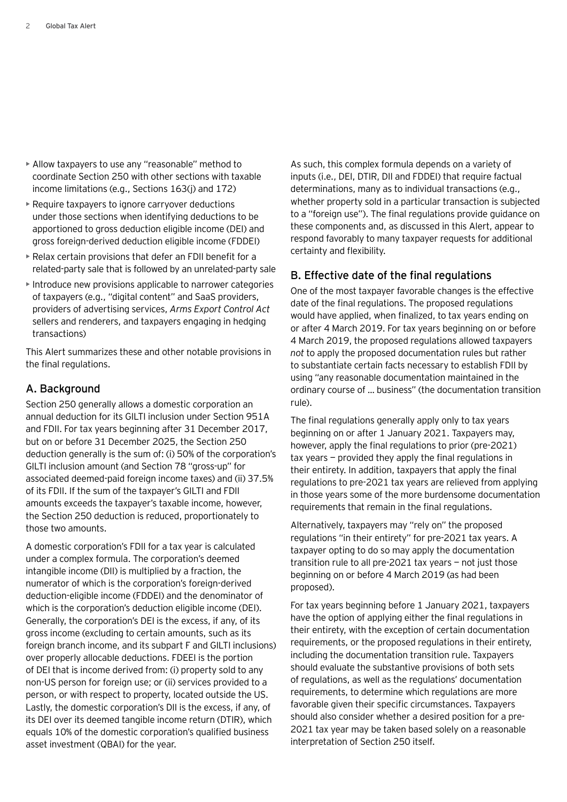- Allow taxpayers to use any "reasonable" method to coordinate Section 250 with other sections with taxable income limitations (e.g., Sections 163(j) and 172)
- Require taxpayers to ignore carryover deductions under those sections when identifying deductions to be apportioned to gross deduction eligible income (DEI) and gross foreign-derived deduction eligible income (FDDEI)
- Relax certain provisions that defer an FDII benefit for a related-party sale that is followed by an unrelated-party sale
- Introduce new provisions applicable to narrower categories of taxpayers (e.g., "digital content" and SaaS providers, providers of advertising services, *Arms Export Control Act* sellers and renderers, and taxpayers engaging in hedging transactions)

This Alert summarizes these and other notable provisions in the final regulations.

# **A. Background**

Section 250 generally allows a domestic corporation an annual deduction for its GILTI inclusion under Section 951A and FDII. For tax years beginning after 31 December 2017, but on or before 31 December 2025, the Section 250 deduction generally is the sum of: (i) 50% of the corporation's GILTI inclusion amount (and Section 78 "gross-up" for associated deemed-paid foreign income taxes) and (ii) 37.5% of its FDII. If the sum of the taxpayer's GILTI and FDII amounts exceeds the taxpayer's taxable income, however, the Section 250 deduction is reduced, proportionately to those two amounts.

A domestic corporation's FDII for a tax year is calculated under a complex formula. The corporation's deemed intangible income (DII) is multiplied by a fraction, the numerator of which is the corporation's foreign-derived deduction-eligible income (FDDEI) and the denominator of which is the corporation's deduction eligible income (DEI). Generally, the corporation's DEI is the excess, if any, of its gross income (excluding to certain amounts, such as its foreign branch income, and its subpart F and GILTI inclusions) over properly allocable deductions. FDEEI is the portion of DEI that is income derived from: (i) property sold to any non-US person for foreign use; or (ii) services provided to a person, or with respect to property, located outside the US. Lastly, the domestic corporation's DII is the excess, if any, of its DEI over its deemed tangible income return (DTIR), which equals 10% of the domestic corporation's qualified business asset investment (QBAI) for the year.

As such, this complex formula depends on a variety of inputs (i.e., DEI, DTIR, DII and FDDEI) that require factual determinations, many as to individual transactions (e.g., whether property sold in a particular transaction is subjected to a "foreign use"). The final regulations provide guidance on these components and, as discussed in this Alert, appear to respond favorably to many taxpayer requests for additional certainty and flexibility.

# **B. Effective date of the final regulations**

One of the most taxpayer favorable changes is the effective date of the final regulations. The proposed regulations would have applied, when finalized, to tax years ending on or after 4 March 2019. For tax years beginning on or before 4 March 2019, the proposed regulations allowed taxpayers *not* to apply the proposed documentation rules but rather to substantiate certain facts necessary to establish FDII by using "any reasonable documentation maintained in the ordinary course of … business" (the documentation transition rule).

The final regulations generally apply only to tax years beginning on or after 1 January 2021. Taxpayers may, however, apply the final regulations to prior (pre-2021) tax years — provided they apply the final regulations in their entirety. In addition, taxpayers that apply the final regulations to pre-2021 tax years are relieved from applying in those years some of the more burdensome documentation requirements that remain in the final regulations.

Alternatively, taxpayers may "rely on" the proposed regulations "in their entirety" for pre-2021 tax years. A taxpayer opting to do so may apply the documentation transition rule to all pre-2021 tax years — not just those beginning on or before 4 March 2019 (as had been proposed).

For tax years beginning before 1 January 2021, taxpayers have the option of applying either the final regulations in their entirety, with the exception of certain documentation requirements, or the proposed regulations in their entirety, including the documentation transition rule. Taxpayers should evaluate the substantive provisions of both sets of regulations, as well as the regulations' documentation requirements, to determine which regulations are more favorable given their specific circumstances. Taxpayers should also consider whether a desired position for a pre-2021 tax year may be taken based solely on a reasonable interpretation of Section 250 itself.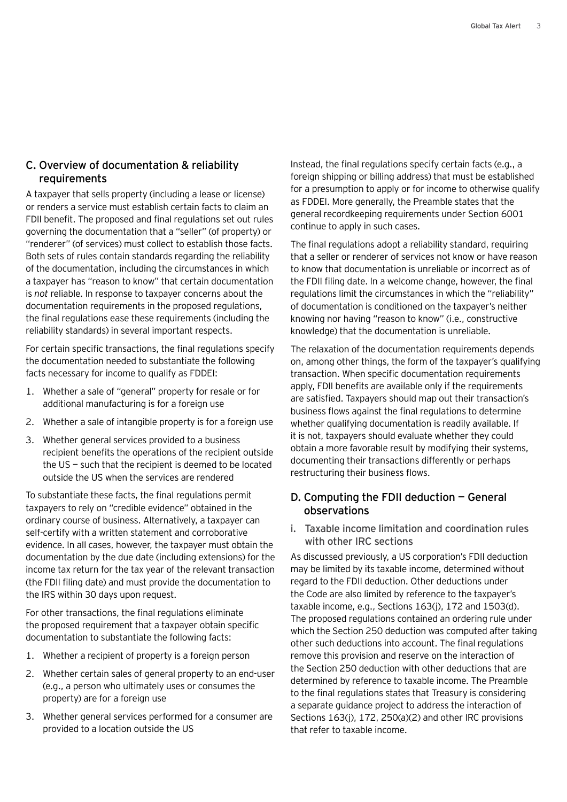# C. Overview of documentation & reliability requirements

A taxpayer that sells property (including a lease or license) or renders a service must establish certain facts to claim an FDII benefit. The proposed and final regulations set out rules governing the documentation that a "seller" (of property) or "renderer" (of services) must collect to establish those facts. Both sets of rules contain standards regarding the reliability of the documentation, including the circumstances in which a taxpayer has "reason to know" that certain documentation is *not* reliable. In response to taxpayer concerns about the documentation requirements in the proposed regulations, the final regulations ease these requirements (including the reliability standards) in several important respects.

For certain specific transactions, the final regulations specify the documentation needed to substantiate the following facts necessary for income to qualify as FDDEI:

- 1. Whether a sale of "general" property for resale or for additional manufacturing is for a foreign use
- 2. Whether a sale of intangible property is for a foreign use
- 3. Whether general services provided to a business recipient benefits the operations of the recipient outside the US — such that the recipient is deemed to be located outside the US when the services are rendered

To substantiate these facts, the final regulations permit taxpayers to rely on "credible evidence" obtained in the ordinary course of business. Alternatively, a taxpayer can self-certify with a written statement and corroborative evidence. In all cases, however, the taxpayer must obtain the documentation by the due date (including extensions) for the income tax return for the tax year of the relevant transaction (the FDII filing date) and must provide the documentation to the IRS within 30 days upon request.

For other transactions, the final regulations eliminate the proposed requirement that a taxpayer obtain specific documentation to substantiate the following facts:

- 1. Whether a recipient of property is a foreign person
- 2. Whether certain sales of general property to an end-user (e.g., a person who ultimately uses or consumes the property) are for a foreign use
- 3. Whether general services performed for a consumer are provided to a location outside the US

Instead, the final regulations specify certain facts (e.g., a foreign shipping or billing address) that must be established for a presumption to apply or for income to otherwise qualify as FDDEI. More generally, the Preamble states that the general recordkeeping requirements under Section 6001 continue to apply in such cases.

The final regulations adopt a reliability standard, requiring that a seller or renderer of services not know or have reason to know that documentation is unreliable or incorrect as of the FDII filing date. In a welcome change, however, the final regulations limit the circumstances in which the "reliability" of documentation is conditioned on the taxpayer's neither knowing nor having "reason to know" (i.e., constructive knowledge) that the documentation is unreliable.

The relaxation of the documentation requirements depends on, among other things, the form of the taxpayer's qualifying transaction. When specific documentation requirements apply, FDII benefits are available only if the requirements are satisfied. Taxpayers should map out their transaction's business flows against the final regulations to determine whether qualifying documentation is readily available. If it is not, taxpayers should evaluate whether they could obtain a more favorable result by modifying their systems, documenting their transactions differently or perhaps restructuring their business flows.

# D. Computing the FDII deduction  $-$  General observations

i. Taxable income limitation and coordination rules with other IRC sections

As discussed previously, a US corporation's FDII deduction may be limited by its taxable income, determined without regard to the FDII deduction. Other deductions under the Code are also limited by reference to the taxpayer's taxable income, e.g., Sections 163(j), 172 and 1503(d). The proposed regulations contained an ordering rule under which the Section 250 deduction was computed after taking other such deductions into account. The final regulations remove this provision and reserve on the interaction of the Section 250 deduction with other deductions that are determined by reference to taxable income. The Preamble to the final regulations states that Treasury is considering a separate guidance project to address the interaction of Sections 163(j), 172, 250(a)(2) and other IRC provisions that refer to taxable income.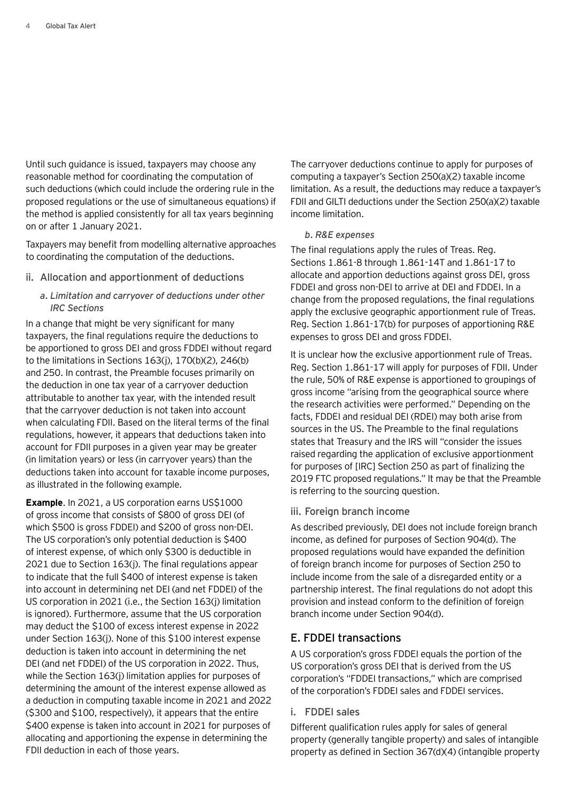Until such guidance is issued, taxpayers may choose any reasonable method for coordinating the computation of such deductions (which could include the ordering rule in the proposed regulations or the use of simultaneous equations) if the method is applied consistently for all tax years beginning on or after 1 January 2021.

Taxpayers may benefit from modelling alternative approaches to coordinating the computation of the deductions.

- ii. Allocation and apportionment of deductions
	- *a. Limitation and carryover of deductions under other IRC Sections*

In a change that might be very significant for many taxpayers, the final regulations require the deductions to be apportioned to gross DEI and gross FDDEI without regard to the limitations in Sections 163(j), 170(b)(2), 246(b) and 250. In contrast, the Preamble focuses primarily on the deduction in one tax year of a carryover deduction attributable to another tax year, with the intended result that the carryover deduction is not taken into account when calculating FDII. Based on the literal terms of the final regulations, however, it appears that deductions taken into account for FDII purposes in a given year may be greater (in limitation years) or less (in carryover years) than the deductions taken into account for taxable income purposes, as illustrated in the following example.

**Example.** In 2021, a US corporation earns US\$1000 of gross income that consists of \$800 of gross DEI (of which \$500 is gross FDDEI) and \$200 of gross non-DEI. The US corporation's only potential deduction is \$400 of interest expense, of which only \$300 is deductible in 2021 due to Section 163(j). The final regulations appear to indicate that the full \$400 of interest expense is taken into account in determining net DEI (and net FDDEI) of the US corporation in 2021 (i.e., the Section 163(j) limitation is ignored). Furthermore, assume that the US corporation may deduct the \$100 of excess interest expense in 2022 under Section 163(j). None of this \$100 interest expense deduction is taken into account in determining the net DEI (and net FDDEI) of the US corporation in 2022. Thus, while the Section 163(j) limitation applies for purposes of determining the amount of the interest expense allowed as a deduction in computing taxable income in 2021 and 2022 (\$300 and \$100, respectively), it appears that the entire \$400 expense is taken into account in 2021 for purposes of allocating and apportioning the expense in determining the FDII deduction in each of those years.

The carryover deductions continue to apply for purposes of computing a taxpayer's Section 250(a)(2) taxable income limitation. As a result, the deductions may reduce a taxpayer's FDII and GILTI deductions under the Section 250(a)(2) taxable income limitation.

## *b. R&E expenses*

The final regulations apply the rules of Treas. Reg. Sections 1.861-8 through 1.861-14T and 1.861-17 to allocate and apportion deductions against gross DEI, gross FDDEI and gross non-DEI to arrive at DEI and FDDEI. In a change from the proposed regulations, the final regulations apply the exclusive geographic apportionment rule of Treas. Reg. Section 1.861-17(b) for purposes of apportioning R&E expenses to gross DEI and gross FDDEI.

It is unclear how the exclusive apportionment rule of Treas. Reg. Section 1.861-17 will apply for purposes of FDII. Under the rule, 50% of R&E expense is apportioned to groupings of gross income "arising from the geographical source where the research activities were performed." Depending on the facts, FDDEI and residual DEI (RDEI) may both arise from sources in the US. The Preamble to the final regulations states that Treasury and the IRS will "consider the issues raised regarding the application of exclusive apportionment for purposes of [IRC] Section 250 as part of finalizing the 2019 FTC proposed regulations." It may be that the Preamble is referring to the sourcing question.

## iii. Foreign branch income

As described previously, DEI does not include foreign branch income, as defined for purposes of Section 904(d). The proposed regulations would have expanded the definition of foreign branch income for purposes of Section 250 to include income from the sale of a disregarded entity or a partnership interest. The final regulations do not adopt this provision and instead conform to the definition of foreign branch income under Section 904(d).

# E. FDDEI transactions

A US corporation's gross FDDEI equals the portion of the US corporation's gross DEI that is derived from the US corporation's "FDDEI transactions," which are comprised of the corporation's FDDEI sales and FDDEI services.

## i. FDDEI sales

Different qualification rules apply for sales of general property (generally tangible property) and sales of intangible property as defined in Section 367(d)(4) (intangible property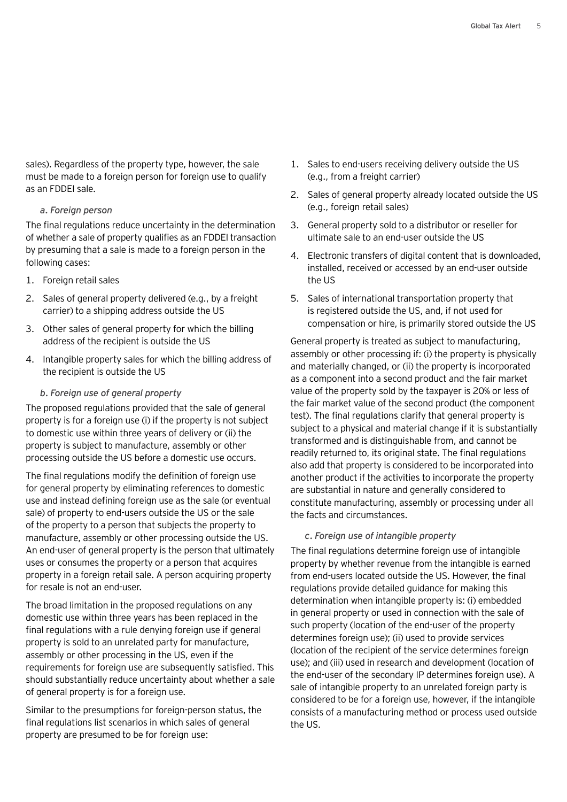sales). Regardless of the property type, however, the sale must be made to a foreign person for foreign use to qualify as an FDDEI sale.

#### *a. Foreign person*

The final regulations reduce uncertainty in the determination of whether a sale of property qualifies as an FDDEI transaction by presuming that a sale is made to a foreign person in the following cases:

- 1. Foreign retail sales
- 2. Sales of general property delivered (e.g., by a freight carrier) to a shipping address outside the US
- 3. Other sales of general property for which the billing address of the recipient is outside the US
- 4. Intangible property sales for which the billing address of the recipient is outside the US

#### *b. Foreign use of general property*

The proposed regulations provided that the sale of general property is for a foreign use (i) if the property is not subject to domestic use within three years of delivery or (ii) the property is subject to manufacture, assembly or other processing outside the US before a domestic use occurs.

The final regulations modify the definition of foreign use for general property by eliminating references to domestic use and instead defining foreign use as the sale (or eventual sale) of property to end-users outside the US or the sale of the property to a person that subjects the property to manufacture, assembly or other processing outside the US. An end-user of general property is the person that ultimately uses or consumes the property or a person that acquires property in a foreign retail sale. A person acquiring property for resale is not an end-user.

The broad limitation in the proposed regulations on any domestic use within three years has been replaced in the final regulations with a rule denying foreign use if general property is sold to an unrelated party for manufacture, assembly or other processing in the US, even if the requirements for foreign use are subsequently satisfied. This should substantially reduce uncertainty about whether a sale of general property is for a foreign use.

Similar to the presumptions for foreign-person status, the final regulations list scenarios in which sales of general property are presumed to be for foreign use:

- 1. Sales to end-users receiving delivery outside the US (e.g., from a freight carrier)
- 2. Sales of general property already located outside the US (e.g., foreign retail sales)
- 3. General property sold to a distributor or reseller for ultimate sale to an end-user outside the US
- 4. Electronic transfers of digital content that is downloaded, installed, received or accessed by an end-user outside the US
- 5. Sales of international transportation property that is registered outside the US, and, if not used for compensation or hire, is primarily stored outside the US

General property is treated as subject to manufacturing, assembly or other processing if: (i) the property is physically and materially changed, or (ii) the property is incorporated as a component into a second product and the fair market value of the property sold by the taxpayer is 20% or less of the fair market value of the second product (the component test). The final regulations clarify that general property is subject to a physical and material change if it is substantially transformed and is distinguishable from, and cannot be readily returned to, its original state. The final regulations also add that property is considered to be incorporated into another product if the activities to incorporate the property are substantial in nature and generally considered to constitute manufacturing, assembly or processing under all the facts and circumstances.

#### *c. Foreign use of intangible property*

The final regulations determine foreign use of intangible property by whether revenue from the intangible is earned from end-users located outside the US. However, the final regulations provide detailed guidance for making this determination when intangible property is: (i) embedded in general property or used in connection with the sale of such property (location of the end-user of the property determines foreign use); (ii) used to provide services (location of the recipient of the service determines foreign use); and (iii) used in research and development (location of the end-user of the secondary IP determines foreign use). A sale of intangible property to an unrelated foreign party is considered to be for a foreign use, however, if the intangible consists of a manufacturing method or process used outside the US.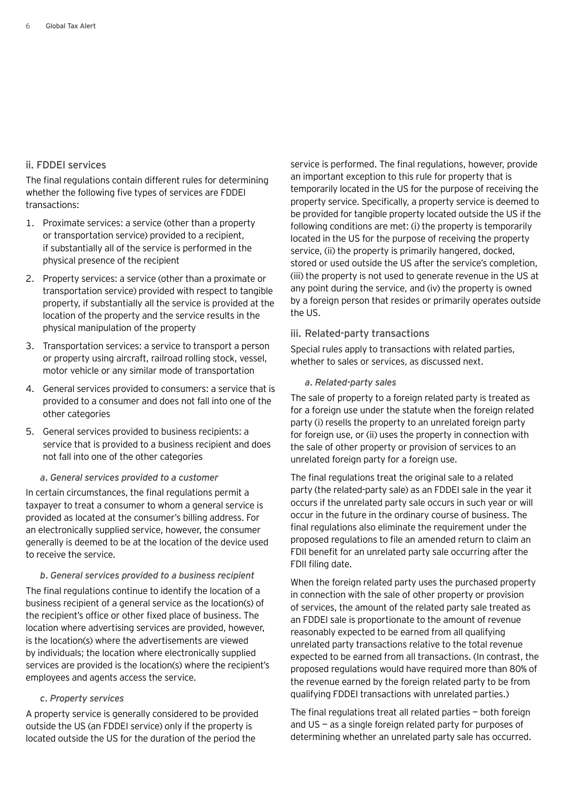## ii. FDDEI services

The final regulations contain different rules for determining whether the following five types of services are FDDEI transactions:

- 1. Proximate services: a service (other than a property or transportation service) provided to a recipient, if substantially all of the service is performed in the physical presence of the recipient
- 2. Property services: a service (other than a proximate or transportation service) provided with respect to tangible property, if substantially all the service is provided at the location of the property and the service results in the physical manipulation of the property
- 3. Transportation services: a service to transport a person or property using aircraft, railroad rolling stock, vessel, motor vehicle or any similar mode of transportation
- 4. General services provided to consumers: a service that is provided to a consumer and does not fall into one of the other categories
- 5. General services provided to business recipients: a service that is provided to a business recipient and does not fall into one of the other categories

## *a. General services provided to a customer*

In certain circumstances, the final regulations permit a taxpayer to treat a consumer to whom a general service is provided as located at the consumer's billing address. For an electronically supplied service, however, the consumer generally is deemed to be at the location of the device used to receive the service.

*b. General services provided to a business recipient* The final regulations continue to identify the location of a business recipient of a general service as the location(s) of the recipient's office or other fixed place of business. The location where advertising services are provided, however, is the location(s) where the advertisements are viewed by individuals; the location where electronically supplied services are provided is the location(s) where the recipient's employees and agents access the service.

## *c. Property services*

A property service is generally considered to be provided outside the US (an FDDEI service) only if the property is located outside the US for the duration of the period the

service is performed. The final regulations, however, provide an important exception to this rule for property that is temporarily located in the US for the purpose of receiving the property service. Specifically, a property service is deemed to be provided for tangible property located outside the US if the following conditions are met: (i) the property is temporarily located in the US for the purpose of receiving the property service, (ii) the property is primarily hangered, docked, stored or used outside the US after the service's completion, (iii) the property is not used to generate revenue in the US at any point during the service, and (iv) the property is owned by a foreign person that resides or primarily operates outside the US.

## iii. Related-party transactions

Special rules apply to transactions with related parties, whether to sales or services, as discussed next.

## *a. Related-party sales*

The sale of property to a foreign related party is treated as for a foreign use under the statute when the foreign related party (i) resells the property to an unrelated foreign party for foreign use, or (ii) uses the property in connection with the sale of other property or provision of services to an unrelated foreign party for a foreign use.

The final regulations treat the original sale to a related party (the related-party sale) as an FDDEI sale in the year it occurs if the unrelated party sale occurs in such year or will occur in the future in the ordinary course of business. The final regulations also eliminate the requirement under the proposed regulations to file an amended return to claim an FDII benefit for an unrelated party sale occurring after the FDII filing date.

When the foreign related party uses the purchased property in connection with the sale of other property or provision of services, the amount of the related party sale treated as an FDDEI sale is proportionate to the amount of revenue reasonably expected to be earned from all qualifying unrelated party transactions relative to the total revenue expected to be earned from all transactions. (In contrast, the proposed regulations would have required more than 80% of the revenue earned by the foreign related party to be from qualifying FDDEI transactions with unrelated parties.)

The final regulations treat all related parties — both foreign and US — as a single foreign related party for purposes of determining whether an unrelated party sale has occurred.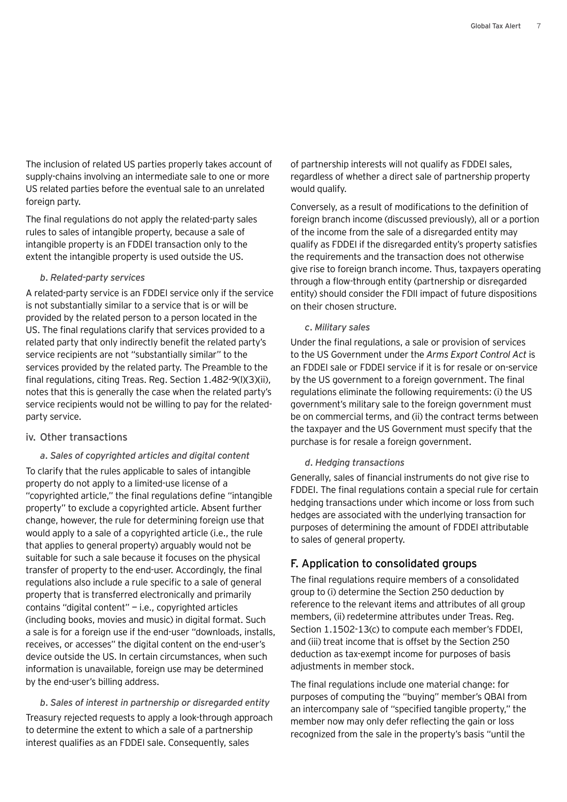The inclusion of related US parties properly takes account of supply-chains involving an intermediate sale to one or more US related parties before the eventual sale to an unrelated foreign party.

The final regulations do not apply the related-party sales rules to sales of intangible property, because a sale of intangible property is an FDDEI transaction only to the extent the intangible property is used outside the US.

#### *b. Related-party services*

A related-party service is an FDDEI service only if the service is not substantially similar to a service that is or will be provided by the related person to a person located in the US. The final regulations clarify that services provided to a related party that only indirectly benefit the related party's service recipients are not "substantially similar" to the services provided by the related party. The Preamble to the final regulations, citing Treas. Reg. Section 1.482-9(l)(3)(ii), notes that this is generally the case when the related party's service recipients would not be willing to pay for the relatedparty service.

#### iv. Other transactions

*a. Sales of copyrighted articles and digital content* To clarify that the rules applicable to sales of intangible property do not apply to a limited-use license of a "copyrighted article," the final regulations define "intangible property" to exclude a copyrighted article. Absent further change, however, the rule for determining foreign use that would apply to a sale of a copyrighted article (i.e., the rule that applies to general property) arguably would not be suitable for such a sale because it focuses on the physical transfer of property to the end-user. Accordingly, the final regulations also include a rule specific to a sale of general property that is transferred electronically and primarily contains "digital content" — i.e., copyrighted articles (including books, movies and music) in digital format. Such a sale is for a foreign use if the end-user "downloads, installs, receives, or accesses" the digital content on the end-user's device outside the US. In certain circumstances, when such information is unavailable, foreign use may be determined by the end-user's billing address.

#### *b. Sales of interest in partnership or disregarded entity*

Treasury rejected requests to apply a look-through approach to determine the extent to which a sale of a partnership interest qualifies as an FDDEI sale. Consequently, sales

of partnership interests will not qualify as FDDEI sales, regardless of whether a direct sale of partnership property would qualify.

Conversely, as a result of modifications to the definition of foreign branch income (discussed previously), all or a portion of the income from the sale of a disregarded entity may qualify as FDDEI if the disregarded entity's property satisfies the requirements and the transaction does not otherwise give rise to foreign branch income. Thus, taxpayers operating through a flow-through entity (partnership or disregarded entity) should consider the FDII impact of future dispositions on their chosen structure.

#### *c. Military sales*

Under the final regulations, a sale or provision of services to the US Government under the *Arms Export Control Act* is an FDDEI sale or FDDEI service if it is for resale or on-service by the US government to a foreign government. The final regulations eliminate the following requirements: (i) the US government's military sale to the foreign government must be on commercial terms, and (ii) the contract terms between the taxpayer and the US Government must specify that the purchase is for resale a foreign government.

#### *d. Hedging transactions*

Generally, sales of financial instruments do not give rise to FDDEI. The final regulations contain a special rule for certain hedging transactions under which income or loss from such hedges are associated with the underlying transaction for purposes of determining the amount of FDDEI attributable to sales of general property.

## F. Application to consolidated groups

The final regulations require members of a consolidated group to (i) determine the Section 250 deduction by reference to the relevant items and attributes of all group members, (ii) redetermine attributes under Treas. Reg. Section 1.1502-13(c) to compute each member's FDDEI, and (iii) treat income that is offset by the Section 250 deduction as tax-exempt income for purposes of basis adjustments in member stock.

The final regulations include one material change: for purposes of computing the "buying" member's QBAI from an intercompany sale of "specified tangible property," the member now may only defer reflecting the gain or loss recognized from the sale in the property's basis "until the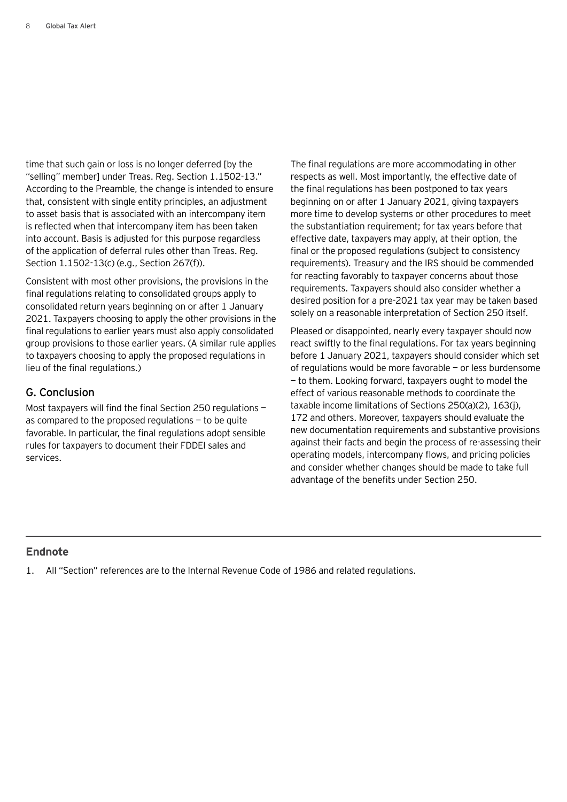time that such gain or loss is no longer deferred [by the "selling" member] under Treas. Reg. Section 1.1502-13." According to the Preamble, the change is intended to ensure that, consistent with single entity principles, an adjustment to asset basis that is associated with an intercompany item is reflected when that intercompany item has been taken into account. Basis is adjusted for this purpose regardless of the application of deferral rules other than Treas. Reg. Section 1.1502-13(c) (e.g., Section 267(f)).

Consistent with most other provisions, the provisions in the final regulations relating to consolidated groups apply to consolidated return years beginning on or after 1 January 2021. Taxpayers choosing to apply the other provisions in the final regulations to earlier years must also apply consolidated group provisions to those earlier years. (A similar rule applies to taxpayers choosing to apply the proposed regulations in lieu of the final regulations.)

#### **G. Conclusion**

Most taxpayers will find the final Section 250 regulations as compared to the proposed regulations  $-$  to be quite favorable. In particular, the final regulations adopt sensible rules for taxpayers to document their FDDEI sales and services.

The final regulations are more accommodating in other respects as well. Most importantly, the effective date of the final regulations has been postponed to tax years beginning on or after 1 January 2021, giving taxpayers more time to develop systems or other procedures to meet the substantiation requirement; for tax years before that effective date, taxpayers may apply, at their option, the final or the proposed regulations (subject to consistency requirements). Treasury and the IRS should be commended for reacting favorably to taxpayer concerns about those requirements. Taxpayers should also consider whether a desired position for a pre-2021 tax year may be taken based solely on a reasonable interpretation of Section 250 itself.

Pleased or disappointed, nearly every taxpayer should now react swiftly to the final regulations. For tax years beginning before 1 January 2021, taxpayers should consider which set of regulations would be more favorable — or less burdensome — to them. Looking forward, taxpayers ought to model the effect of various reasonable methods to coordinate the taxable income limitations of Sections 250(a)(2), 163(j), 172 and others. Moreover, taxpayers should evaluate the new documentation requirements and substantive provisions against their facts and begin the process of re-assessing their operating models, intercompany flows, and pricing policies and consider whether changes should be made to take full advantage of the benefits under Section 250.

## **Endnote**

1. All "Section" references are to the Internal Revenue Code of 1986 and related regulations.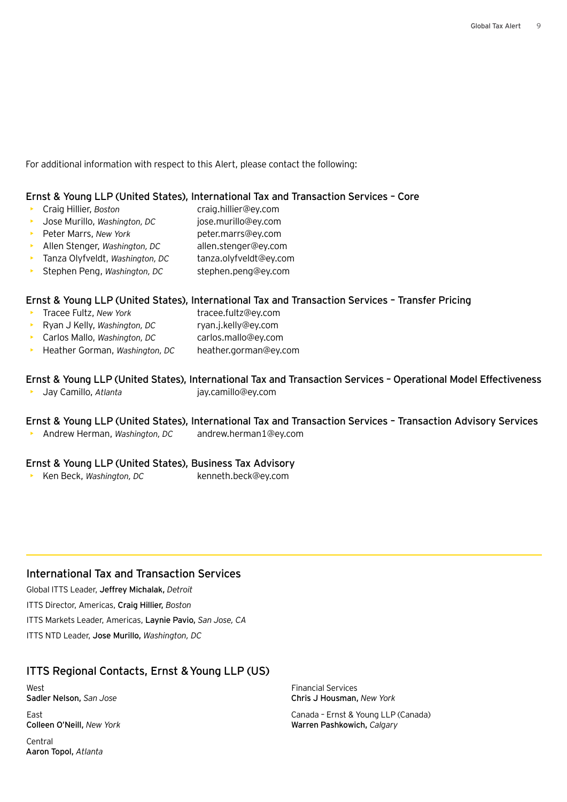For additional information with respect to this Alert, please contact the following:

#### Ernst & Young LLP (United States), International Tax and Transaction Services – Core

- Craig Hillier, *Boston* craig.hillier@ey.com
- Jose Murillo, *Washington, DC* jose.murillo@ey.com
- Peter Marrs, *New York* peter.marrs@ey.com
- Allen Stenger, *Washington, DC* allen.stenger@ey.com
- Tanza Olyfveldt, *Washington, DC* tanza.olyfveldt@ey.com
- Stephen Peng, *Washington, DC* stephen.peng@ey.com

#### Ernst & Young LLP (United States), International Tax and Transaction Services – Transfer Pricing

- Tracee Fultz, *New York* tracee.fultz@ey.com
- Ryan J Kelly, *Washington, DC* ryan.j.kelly@ey.com
- Carlos Mallo, *Washington, DC* carlos.mallo@ey.com
- Heather Gorman, *Washington, DC* heather.gorman@ey.com

#### Ernst & Young LLP (United States), International Tax and Transaction Services – Operational Model Effectiveness

- Jay Camillo, *Atlanta* jay.camillo@ey.com
- 

#### Ernst & Young LLP (United States), International Tax and Transaction Services – Transaction Advisory Services

• Andrew Herman, *Washington, DC* andrew.herman1@ey.com

#### Ernst & Young LLP (United States), Business Tax Advisory

• Ken Beck, *Washington, DC* kenneth.beck@ey.com

## International Tax and Transaction Services

Global ITTS Leader, Jeffrey Michalak, *Detroit*

ITTS Director, Americas, Craig Hillier, *Boston*

ITTS Markets Leader, Americas, Laynie Pavio, *San Jose, CA*

ITTS NTD Leader, Jose Murillo, *Washington, DC*

## ITTS Regional Contacts, Ernst & Young LLP (US)

West Sadler Nelson, *San Jose*

East Colleen O'Neill, *New York*

Central Aaron Topol, *Atlanta* Financial Services Chris J Housman, *New York*

Canada – Ernst & Young LLP (Canada) Warren Pashkowich, *Calgary*